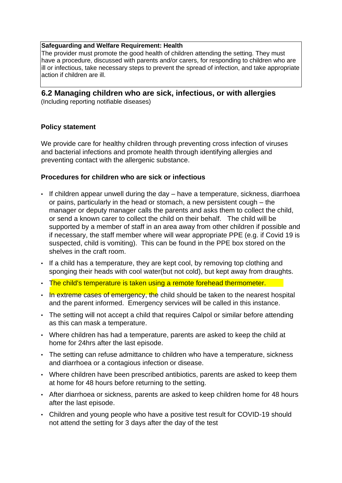#### **Safeguarding and Welfare Requirement: Health**

The provider must promote the good health of children attending the setting. They must have a procedure, discussed with parents and/or carers, for responding to children who are ill or infectious, take necessary steps to prevent the spread of infection, and take appropriate action if children are ill.

# **6.2 Managing children who are sick, infectious, or with allergies**

(Including reporting notifiable diseases)

### **Policy statement**

We provide care for healthy children through preventing cross infection of viruses and bacterial infections and promote health through identifying allergies and preventing contact with the allergenic substance.

#### **Procedures for children who are sick or infectious**

- If children appear unwell during the day have a temperature, sickness, diarrhoea or pains, particularly in the head or stomach, a new persistent cough – the manager or deputy manager calls the parents and asks them to collect the child, or send a known carer to collect the child on their behalf. The child will be supported by a member of staff in an area away from other children if possible and if necessary, the staff member where will wear appropriate PPE (e.g. if Covid 19 is suspected, child is vomiting). This can be found in the PPE box stored on the shelves in the craft room.
- If a child has a temperature, they are kept cool, by removing top clothing and sponging their heads with cool water(but not cold), but kept away from draughts.
- The child's temperature is taken using a remote forehead thermometer.
- In extreme cases of emergency, the child should be taken to the nearest hospital and the parent informed. Emergency services will be called in this instance.
- The setting will not accept a child that requires Calpol or similar before attending as this can mask a temperature.
- Where children has had a temperature, parents are asked to keep the child at home for 24hrs after the last episode.
- The setting can refuse admittance to children who have a temperature, sickness and diarrhoea or a contagious infection or disease.
- Where children have been prescribed antibiotics, parents are asked to keep them at home for 48 hours before returning to the setting.
- After diarrhoea or sickness, parents are asked to keep children home for 48 hours after the last episode.
- Children and young people who have a positive test result for COVID-19 should not attend the setting for 3 days after the day of the test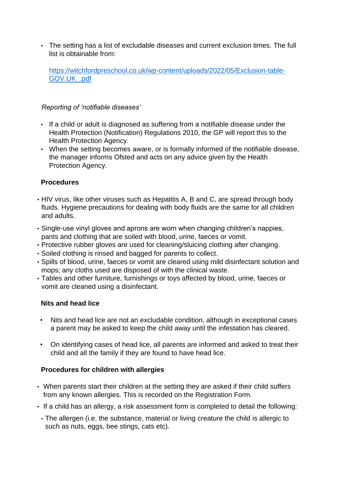• The setting has a list of excludable diseases and current exclusion times. The full list is obtainable from:

[https://witchfordpreschool.co.uk/wp-content/uploads/2022/05/Exclusion-table-](https://witchfordpreschool.co.uk/wp-content/uploads/2022/05/Exclusion-table-GOV.UK_.pdf)[GOV.UK\\_.pdf](https://witchfordpreschool.co.uk/wp-content/uploads/2022/05/Exclusion-table-GOV.UK_.pdf)

### *Reporting of 'notifiable diseases'*

- If a child or adult is diagnosed as suffering from a notifiable disease under the Health Protection (Notification) Regulations 2010, the GP will report this to the Health Protection Agency.
- When the setting becomes aware, or is formally informed of the notifiable disease, the manager informs Ofsted and acts on any advice given by the Health Protection Agency.

### **Procedures**

- HIV virus, like other viruses such as Hepatitis A, B and C, are spread through body fluids. Hygiene precautions for dealing with body fluids are the same for all children and adults.
- Single-use vinyl gloves and aprons are worn when changing children's nappies, pants and clothing that are soiled with blood, urine, faeces or vomit.
- Protective rubber gloves are used for cleaning/sluicing clothing after changing.
- Soiled clothing is rinsed and bagged for parents to collect.
- Spills of blood, urine, faeces or vomit are cleared using mild disinfectant solution and mops; any cloths used are disposed of with the clinical waste.
- Tables and other furniture, furnishings or toys affected by blood, urine, faeces or vomit are cleaned using a disinfectant.

### **Nits and head lice**

- Nits and head lice are not an excludable condition, although in exceptional cases a parent may be asked to keep the child away until the infestation has cleared.
- On identifying cases of head lice, all parents are informed and asked to treat their child and all the family if they are found to have head lice.

## **Procedures for children with allergies**

- When parents start their children at the setting they are asked if their child suffers from any known allergies. This is recorded on the Registration Form.
- If a child has an allergy, a risk assessment form is completed to detail the following:
- **-** The allergen (i.e. the substance, material or living creature the child is allergic to such as nuts, eggs, bee stings, cats etc).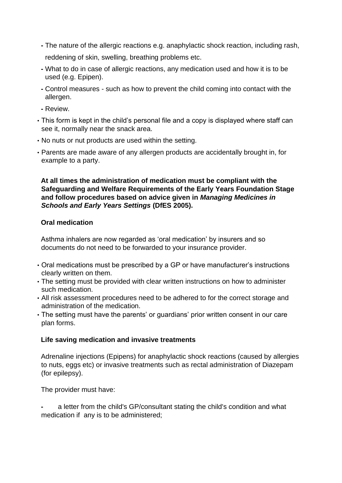**-** The nature of the allergic reactions e.g. anaphylactic shock reaction, including rash,

reddening of skin, swelling, breathing problems etc.

- **-** What to do in case of allergic reactions, any medication used and how it is to be used (e.g. Epipen).
- **-** Control measures such as how to prevent the child coming into contact with the allergen.
- **-** Review.
- This form is kept in the child's personal file and a copy is displayed where staff can see it, normally near the snack area.
- No nuts or nut products are used within the setting.
- Parents are made aware of any allergen products are accidentally brought in, for example to a party.

**At all times the administration of medication must be compliant with the Safeguarding and Welfare Requirements of the Early Years Foundation Stage and follow procedures based on advice given in** *Managing Medicines in Schools and Early Years Settings* **(DfES 2005).** 

## **Oral medication**

Asthma inhalers are now regarded as 'oral medication' by insurers and so documents do not need to be forwarded to your insurance provider.

- Oral medications must be prescribed by a GP or have manufacturer's instructions clearly written on them.
- The setting must be provided with clear written instructions on how to administer such medication.
- All risk assessment procedures need to be adhered to for the correct storage and administration of the medication.
- The setting must have the parents' or guardians' prior written consent in our care plan forms.

## **Life saving medication and invasive treatments**

Adrenaline injections (Epipens) for anaphylactic shock reactions (caused by allergies to nuts, eggs etc) or invasive treatments such as rectal administration of Diazepam (for epilepsy).

The provider must have:

**-** a letter from the child's GP/consultant stating the child's condition and what medication if any is to be administered;